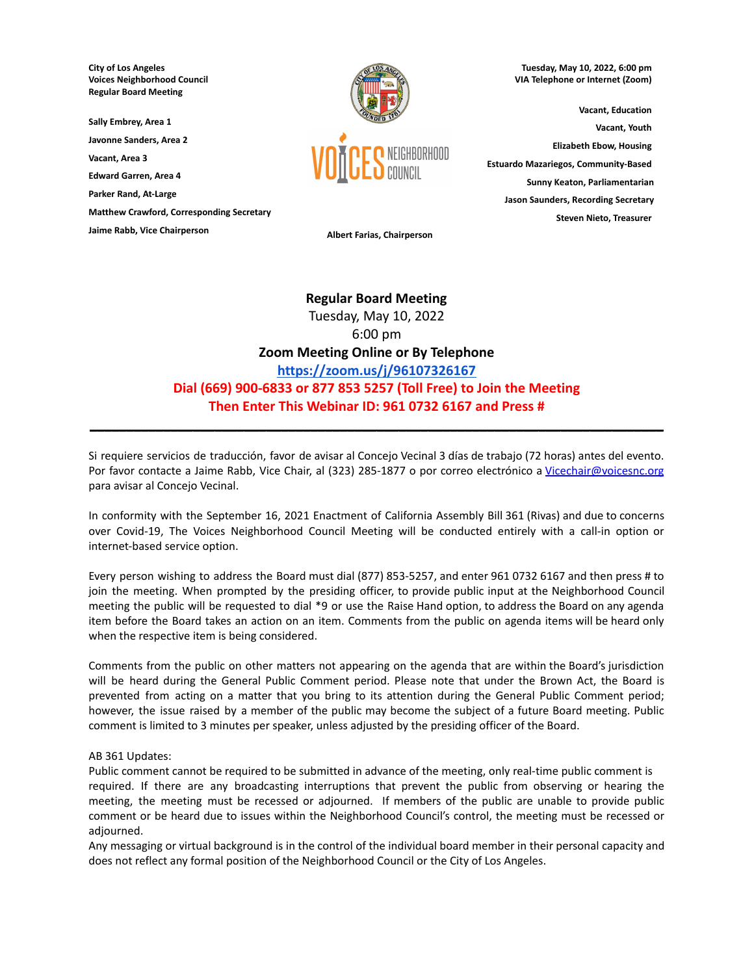**City of Los Angeles Voices Neighborhood Council Regular Board Meeting**

**Sally Embrey, Area 1**

**Javonne Sanders, Area 2**

**Vacant, Area 3**

**Edward Garren, Area 4**

**Parker Rand, At-Large**

**Matthew Crawford, Corresponding Secretary**

**Jaime Rabb, Vice Chairperson Albert Farias, Chairperson**



**Tuesday, May 10, 2022, 6:00 pm VIA Telephone or Internet (Zoom)**

**Vacant, Education Vacant, Youth Elizabeth Ebow, Housing Estuardo Mazariegos, Community-Based Sunny Keaton, Parliamentarian Jason Saunders, Recording Secretary Steven Nieto, Treasurer**

# **Regular Board Meeting** Tuesday, May 10, 2022 6:00 pm **Zoom Meeting Online or By Telephone <https://zoom.us/j/96107326167> Dial (669) 900-6833 or 877 853 5257 (Toll Free) to Join the Meeting Then Enter This Webinar ID: 961 0732 6167 and Press #**

Si requiere servicios de traducción, favor de avisar al Concejo Vecinal 3 días de trabajo (72 horas) antes del evento. Por favor contacte a Jaime Rabb, Vice Chair, al (323) 285-1877 o por correo electrónico a [Vicechair@voicesnc.org](mailto:VNCCorrSec18@gmail.com) para avisar al Concejo Vecinal.

**\_\_\_\_\_\_\_\_\_\_\_\_\_\_\_\_\_\_\_\_\_\_\_\_\_\_\_\_\_\_\_\_\_\_\_\_\_\_\_\_\_\_\_\_\_\_\_\_\_\_\_\_\_\_\_\_\_\_\_\_\_\_\_\_\_\_\_\_\_\_\_\_\_\_\_\_\_\_**

In conformity with the September 16, 2021 Enactment of California Assembly Bill 361 (Rivas) and due to concerns over Covid-19, The Voices Neighborhood Council Meeting will be conducted entirely with a call-in option or internet-based service option.

Every person wishing to address the Board must dial (877) 853-5257, and enter 961 0732 6167 and then press # to join the meeting. When prompted by the presiding officer, to provide public input at the Neighborhood Council meeting the public will be requested to dial \*9 or use the Raise Hand option, to address the Board on any agenda item before the Board takes an action on an item. Comments from the public on agenda items will be heard only when the respective item is being considered.

Comments from the public on other matters not appearing on the agenda that are within the Board's jurisdiction will be heard during the General Public Comment period. Please note that under the Brown Act, the Board is prevented from acting on a matter that you bring to its attention during the General Public Comment period; however, the issue raised by a member of the public may become the subject of a future Board meeting. Public comment is limited to 3 minutes per speaker, unless adjusted by the presiding officer of the Board.

#### AB 361 Updates:

Public comment cannot be required to be submitted in advance of the meeting, only real-time public comment is required. If there are any broadcasting interruptions that prevent the public from observing or hearing the meeting, the meeting must be recessed or adjourned. If members of the public are unable to provide public comment or be heard due to issues within the Neighborhood Council's control, the meeting must be recessed or adjourned.

Any messaging or virtual background is in the control of the individual board member in their personal capacity and does not reflect any formal position of the Neighborhood Council or the City of Los Angeles.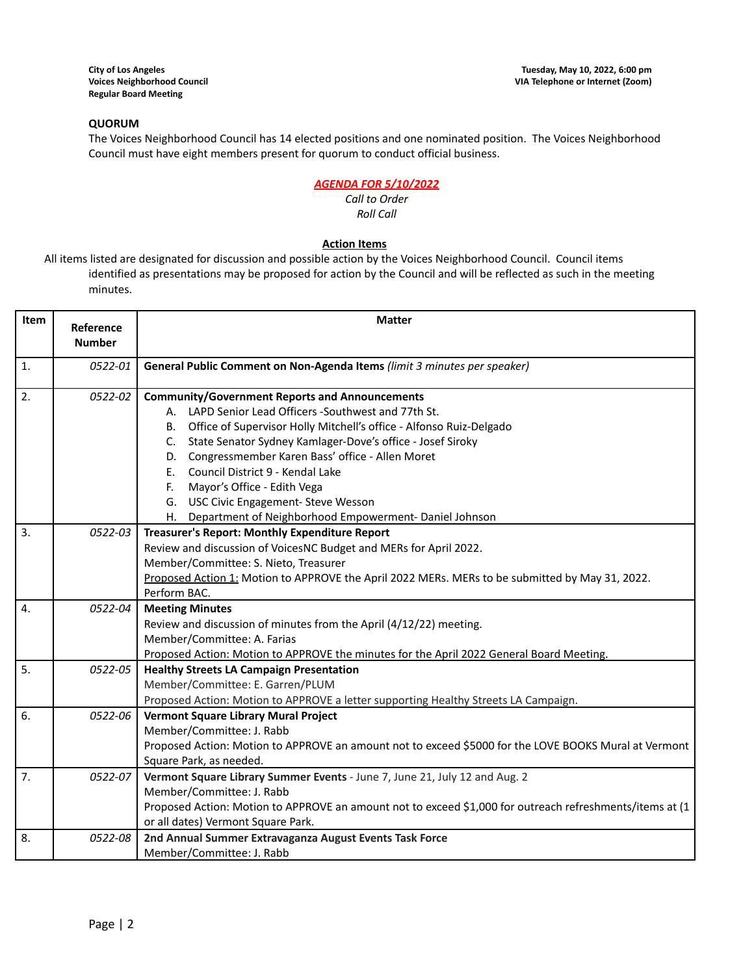# **QUORUM**

The Voices Neighborhood Council has 14 elected positions and one nominated position. The Voices Neighborhood Council must have eight members present for quorum to conduct official business.

# *AGENDA FOR 5/10/2022*

#### *Call to Order Roll Call*

## **Action Items**

All items listed are designated for discussion and possible action by the Voices Neighborhood Council. Council items identified as presentations may be proposed for action by the Council and will be reflected as such in the meeting minutes.

| Item           | Reference     | <b>Matter</b>                                                                                            |  |  |  |
|----------------|---------------|----------------------------------------------------------------------------------------------------------|--|--|--|
|                | <b>Number</b> |                                                                                                          |  |  |  |
| $\mathbf{1}$ . | 0522-01       | General Public Comment on Non-Agenda Items (limit 3 minutes per speaker)                                 |  |  |  |
| 2.             | 0522-02       | <b>Community/Government Reports and Announcements</b>                                                    |  |  |  |
|                |               | A. LAPD Senior Lead Officers -Southwest and 77th St.                                                     |  |  |  |
|                |               | B. Office of Supervisor Holly Mitchell's office - Alfonso Ruiz-Delgado                                   |  |  |  |
|                |               | C. State Senator Sydney Kamlager-Dove's office - Josef Siroky                                            |  |  |  |
|                |               | D. Congressmember Karen Bass' office - Allen Moret                                                       |  |  |  |
|                |               | Council District 9 - Kendal Lake<br>Е.                                                                   |  |  |  |
|                |               | Mayor's Office - Edith Vega<br>F.                                                                        |  |  |  |
|                |               | G. USC Civic Engagement- Steve Wesson                                                                    |  |  |  |
|                |               | H. Department of Neighborhood Empowerment- Daniel Johnson                                                |  |  |  |
| 3.             | 0522-03       | Treasurer's Report: Monthly Expenditure Report                                                           |  |  |  |
|                |               | Review and discussion of VoicesNC Budget and MERs for April 2022.                                        |  |  |  |
|                |               | Member/Committee: S. Nieto, Treasurer                                                                    |  |  |  |
|                |               | Proposed Action 1: Motion to APPROVE the April 2022 MERs. MERs to be submitted by May 31, 2022.          |  |  |  |
|                |               | Perform BAC.                                                                                             |  |  |  |
| 4.             | 0522-04       | <b>Meeting Minutes</b>                                                                                   |  |  |  |
|                |               | Review and discussion of minutes from the April (4/12/22) meeting.                                       |  |  |  |
|                |               | Member/Committee: A. Farias                                                                              |  |  |  |
|                |               | Proposed Action: Motion to APPROVE the minutes for the April 2022 General Board Meeting.                 |  |  |  |
| 5.             | 0522-05       | <b>Healthy Streets LA Campaign Presentation</b>                                                          |  |  |  |
|                |               | Member/Committee: E. Garren/PLUM                                                                         |  |  |  |
|                |               | Proposed Action: Motion to APPROVE a letter supporting Healthy Streets LA Campaign.                      |  |  |  |
| 6.             | 0522-06       | <b>Vermont Square Library Mural Project</b>                                                              |  |  |  |
|                |               | Member/Committee: J. Rabb                                                                                |  |  |  |
|                |               | Proposed Action: Motion to APPROVE an amount not to exceed \$5000 for the LOVE BOOKS Mural at Vermont    |  |  |  |
|                |               | Square Park, as needed.                                                                                  |  |  |  |
| 7.             | 0522-07       | Vermont Square Library Summer Events - June 7, June 21, July 12 and Aug. 2                               |  |  |  |
|                |               | Member/Committee: J. Rabb                                                                                |  |  |  |
|                |               | Proposed Action: Motion to APPROVE an amount not to exceed \$1,000 for outreach refreshments/items at (1 |  |  |  |
|                |               | or all dates) Vermont Square Park.                                                                       |  |  |  |
| 8.             | 0522-08       | 2nd Annual Summer Extravaganza August Events Task Force                                                  |  |  |  |
|                |               | Member/Committee: J. Rabb                                                                                |  |  |  |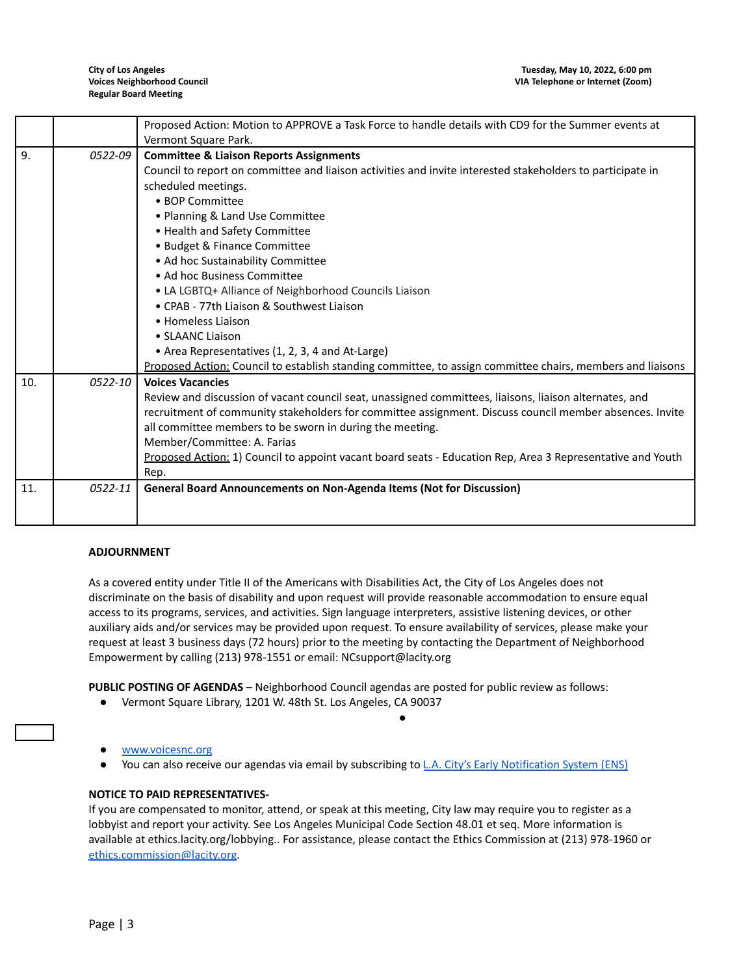|     |             | Proposed Action: Motion to APPROVE a Task Force to handle details with CD9 for the Summer events at        |  |  |  |
|-----|-------------|------------------------------------------------------------------------------------------------------------|--|--|--|
|     |             | Vermont Square Park.                                                                                       |  |  |  |
| 9.  | 0522-09     | <b>Committee &amp; Liaison Reports Assignments</b>                                                         |  |  |  |
|     |             | Council to report on committee and liaison activities and invite interested stakeholders to participate in |  |  |  |
|     |             | scheduled meetings.                                                                                        |  |  |  |
|     |             | • BOP Committee                                                                                            |  |  |  |
|     |             | • Planning & Land Use Committee                                                                            |  |  |  |
|     |             | • Health and Safety Committee                                                                              |  |  |  |
|     |             | • Budget & Finance Committee                                                                               |  |  |  |
|     |             | • Ad hoc Sustainability Committee                                                                          |  |  |  |
|     |             | • Ad hoc Business Committee                                                                                |  |  |  |
|     |             | • LA LGBTQ+ Alliance of Neighborhood Councils Liaison                                                      |  |  |  |
|     |             | • CPAB - 77th Liaison & Southwest Liaison                                                                  |  |  |  |
|     |             | • Homeless Liaison                                                                                         |  |  |  |
|     |             | • SLAANC Liaison                                                                                           |  |  |  |
|     |             | • Area Representatives (1, 2, 3, 4 and At-Large)                                                           |  |  |  |
|     |             | Proposed Action: Council to establish standing committee, to assign committee chairs, members and liaisons |  |  |  |
| 10. | $0522 - 10$ | <b>Voices Vacancies</b>                                                                                    |  |  |  |
|     |             | Review and discussion of vacant council seat, unassigned committees, liaisons, liaison alternates, and     |  |  |  |
|     |             | recruitment of community stakeholders for committee assignment. Discuss council member absences. Invite    |  |  |  |
|     |             | all committee members to be sworn in during the meeting.                                                   |  |  |  |
|     |             | Member/Committee: A. Farias                                                                                |  |  |  |
|     |             | Proposed Action: 1) Council to appoint vacant board seats - Education Rep, Area 3 Representative and Youth |  |  |  |
|     |             | Rep.                                                                                                       |  |  |  |
| 11. | 0522-11     | General Board Announcements on Non-Agenda Items (Not for Discussion)                                       |  |  |  |
|     |             |                                                                                                            |  |  |  |
|     |             |                                                                                                            |  |  |  |

#### **ADJOURNMENT**

As a covered entity under Title II of the Americans with Disabilities Act, the City of Los Angeles does not discriminate on the basis of disability and upon request will provide reasonable accommodation to ensure equal access to its programs, services, and activities. Sign language interpreters, assistive listening devices, or other auxiliary aids and/or services may be provided upon request. To ensure availability of services, please make your request at least 3 business days (72 hours) prior to the meeting by contacting the Department of Neighborhood Empowerment by calling (213) 978-1551 or email: NCsupport@lacity.org

**PUBLIC POSTING OF AGENDAS** – Neighborhood Council agendas are posted for public review as follows:

- Vermont Square Library, 1201 W. 48th St. Los Angeles, CA 90037
- [www.voicesnc.org](http://www.voicesnc.org)
- You can also receive our agendas via email by subscribing to [L.A. City's Early Notification System \(ENS\)](https://www.lacity.org/government/subscribe-agendasnotifications/neighborhood-councils)

●

## **NOTICE TO PAID REPRESENTATIVES-**

If you are compensated to monitor, attend, or speak at this meeting, City law may require you to register as a lobbyist and report your activity. See Los Angeles Municipal Code Section 48.01 et seq. More information is available at ethics.lacity.org/lobbying.. For assistance, please contact the Ethics Commission at (213) 978-1960 or [ethics.commission@lacity.org](mailto:ethics.commission@lacity.org).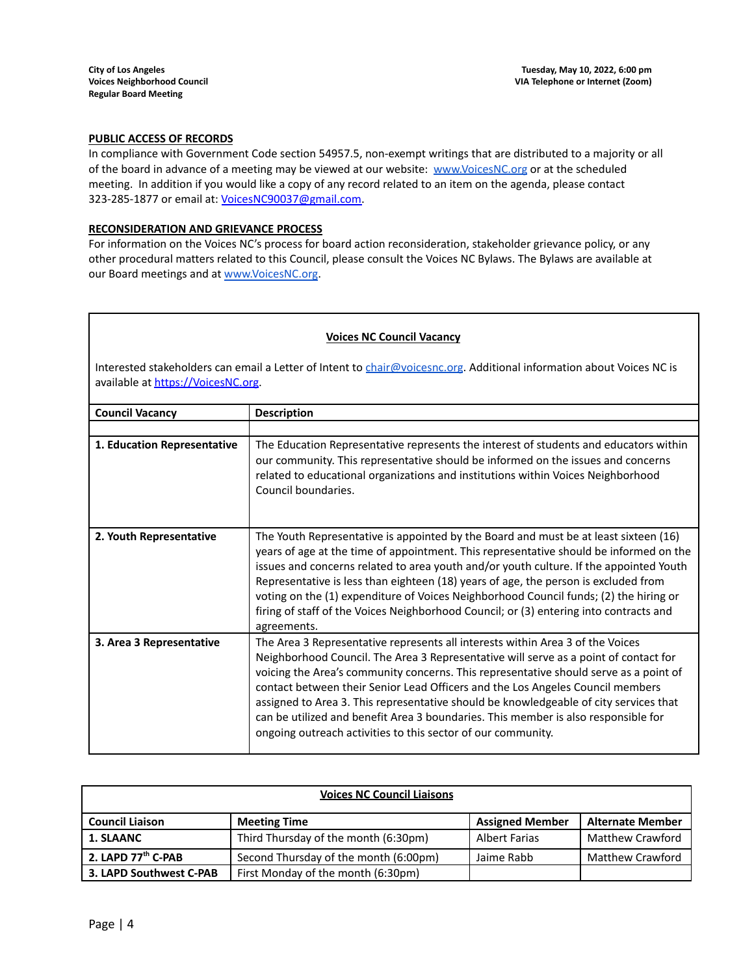## **PUBLIC ACCESS OF RECORDS**

In compliance with Government Code section 54957.5, non-exempt writings that are distributed to a majority or all of the board in advance of a meeting may be viewed at our website: [www.VoicesNC.org](http://www.voicesnc.org) or at the scheduled meeting. In addition if you would like a copy of any record related to an item on the agenda, please contact 323-285-1877 or email at: [VoicesNC90037@gmail.com.](mailto:VoicesNC90037@gmail.com)

## **RECONSIDERATION AND GRIEVANCE PROCESS**

For information on the Voices NC's process for board action reconsideration, stakeholder grievance policy, or any other procedural matters related to this Council, please consult the Voices NC Bylaws. The Bylaws are available at our Board meetings and at [www.VoicesNC.org](http://www.voicesnc.org).

| <b>Voices NC Council Vacancy</b>                                                                                                                            |                                                                                                                                                                                                                                                                                                                                                                                                                                                                                                                                                                                                  |  |  |
|-------------------------------------------------------------------------------------------------------------------------------------------------------------|--------------------------------------------------------------------------------------------------------------------------------------------------------------------------------------------------------------------------------------------------------------------------------------------------------------------------------------------------------------------------------------------------------------------------------------------------------------------------------------------------------------------------------------------------------------------------------------------------|--|--|
| Interested stakeholders can email a Letter of Intent to chair@voicesnc.org. Additional information about Voices NC is<br>available at https://VoicesNC.org. |                                                                                                                                                                                                                                                                                                                                                                                                                                                                                                                                                                                                  |  |  |
| <b>Council Vacancy</b>                                                                                                                                      | <b>Description</b>                                                                                                                                                                                                                                                                                                                                                                                                                                                                                                                                                                               |  |  |
| 1. Education Representative                                                                                                                                 | The Education Representative represents the interest of students and educators within<br>our community. This representative should be informed on the issues and concerns<br>related to educational organizations and institutions within Voices Neighborhood<br>Council boundaries.                                                                                                                                                                                                                                                                                                             |  |  |
| 2. Youth Representative                                                                                                                                     | The Youth Representative is appointed by the Board and must be at least sixteen (16)<br>years of age at the time of appointment. This representative should be informed on the<br>issues and concerns related to area youth and/or youth culture. If the appointed Youth<br>Representative is less than eighteen (18) years of age, the person is excluded from<br>voting on the (1) expenditure of Voices Neighborhood Council funds; (2) the hiring or<br>firing of staff of the Voices Neighborhood Council; or (3) entering into contracts and<br>agreements.                                |  |  |
| 3. Area 3 Representative                                                                                                                                    | The Area 3 Representative represents all interests within Area 3 of the Voices<br>Neighborhood Council. The Area 3 Representative will serve as a point of contact for<br>voicing the Area's community concerns. This representative should serve as a point of<br>contact between their Senior Lead Officers and the Los Angeles Council members<br>assigned to Area 3. This representative should be knowledgeable of city services that<br>can be utilized and benefit Area 3 boundaries. This member is also responsible for<br>ongoing outreach activities to this sector of our community. |  |  |

| <b>Voices NC Council Liaisons</b> |                                       |                        |                         |
|-----------------------------------|---------------------------------------|------------------------|-------------------------|
| <b>Council Liaison</b>            | <b>Meeting Time</b>                   | <b>Assigned Member</b> | <b>Alternate Member</b> |
| <b>1. SLAANC</b>                  | Third Thursday of the month (6:30pm)  | <b>Albert Farias</b>   | <b>Matthew Crawford</b> |
| 2. LAPD 77th C-PAB                | Second Thursday of the month (6:00pm) | Jaime Rabb             | <b>Matthew Crawford</b> |
| 3. LAPD Southwest C-PAB           | First Monday of the month (6:30pm)    |                        |                         |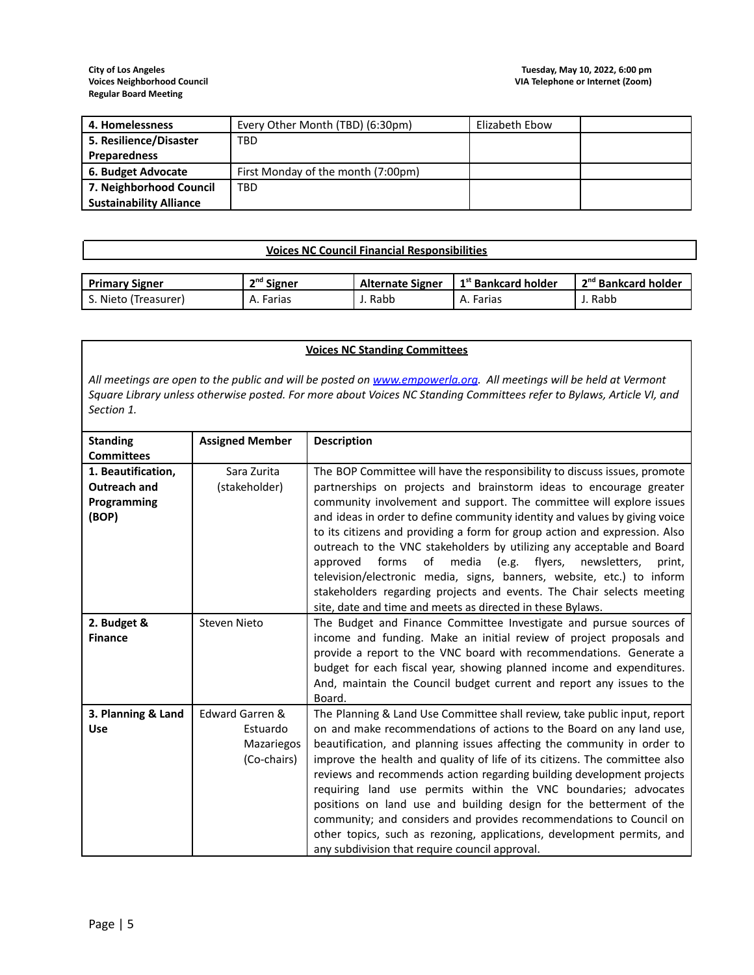| 4. Homelessness                | Every Other Month (TBD) (6:30pm)   | Elizabeth Ebow |  |
|--------------------------------|------------------------------------|----------------|--|
| 5. Resilience/Disaster         | TBD                                |                |  |
| <b>Preparedness</b>            |                                    |                |  |
| 6. Budget Advocate             | First Monday of the month (7:00pm) |                |  |
| 7. Neighborhood Council        | TBD                                |                |  |
| <b>Sustainability Alliance</b> |                                    |                |  |

# **Voices NC Council Financial Responsibilities**

| <b>Primary Signer</b> | <sup>nd</sup> Signer | <b>Alternate Signer</b> | 1 <sup>st</sup> Bankcard holder | . 2 <sup>nd</sup> Bankcard holder |
|-----------------------|----------------------|-------------------------|---------------------------------|-----------------------------------|
| Nieto (Treasurer)     | Farias<br>А.,        | Rabb                    | A. Farias                       | Rabb                              |

## **Voices NC Standing Committees**

All meetings are open to the public and will be posted on [www.empowerla.org](http://www.empowerla.org). All meetings will be held at Vermont Square Library unless otherwise posted. For more about Voices NC Standing Committees refer to Bylaws, Article VI, and *Section 1.*

| <b>Standing</b>     | <b>Assigned Member</b> | <b>Description</b>                                                             |
|---------------------|------------------------|--------------------------------------------------------------------------------|
| <b>Committees</b>   |                        |                                                                                |
| 1. Beautification,  | Sara Zurita            | The BOP Committee will have the responsibility to discuss issues, promote      |
| <b>Outreach and</b> | (stakeholder)          | partnerships on projects and brainstorm ideas to encourage greater             |
| Programming         |                        | community involvement and support. The committee will explore issues           |
| (BOP)               |                        | and ideas in order to define community identity and values by giving voice     |
|                     |                        | to its citizens and providing a form for group action and expression. Also     |
|                     |                        | outreach to the VNC stakeholders by utilizing any acceptable and Board         |
|                     |                        | forms<br>media<br>(e.g.<br>flyers,<br>approved<br>of<br>newsletters,<br>print, |
|                     |                        | television/electronic media, signs, banners, website, etc.) to inform          |
|                     |                        | stakeholders regarding projects and events. The Chair selects meeting          |
|                     |                        | site, date and time and meets as directed in these Bylaws.                     |
| 2. Budget &         | <b>Steven Nieto</b>    | The Budget and Finance Committee Investigate and pursue sources of             |
| <b>Finance</b>      |                        | income and funding. Make an initial review of project proposals and            |
|                     |                        | provide a report to the VNC board with recommendations. Generate a             |
|                     |                        | budget for each fiscal year, showing planned income and expenditures.          |
|                     |                        | And, maintain the Council budget current and report any issues to the          |
|                     |                        | Board.                                                                         |
| 3. Planning & Land  | Edward Garren &        | The Planning & Land Use Committee shall review, take public input, report      |
| Use                 | Estuardo               | on and make recommendations of actions to the Board on any land use,           |
|                     | Mazariegos             | beautification, and planning issues affecting the community in order to        |
|                     | (Co-chairs)            | improve the health and quality of life of its citizens. The committee also     |
|                     |                        | reviews and recommends action regarding building development projects          |
|                     |                        | requiring land use permits within the VNC boundaries; advocates                |
|                     |                        | positions on land use and building design for the betterment of the            |
|                     |                        | community; and considers and provides recommendations to Council on            |
|                     |                        | other topics, such as rezoning, applications, development permits, and         |
|                     |                        | any subdivision that require council approval.                                 |